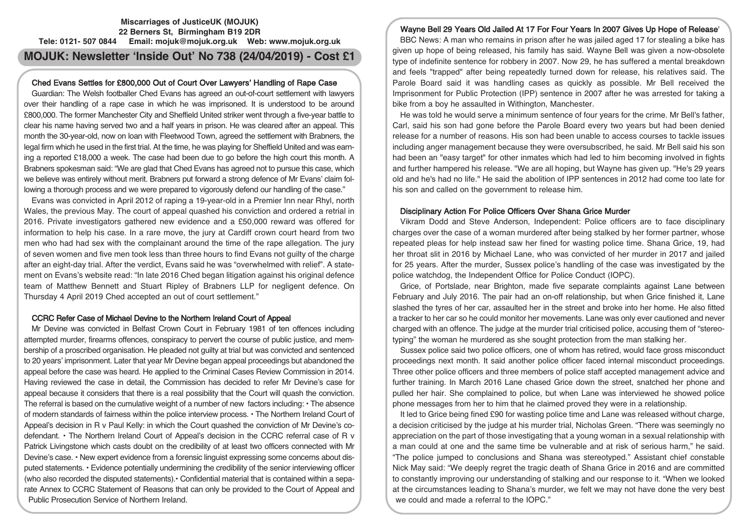# **Miscarriages of JusticeUK (MOJUK) 22 Berners St, Birmingham B19 2DR Tele: 0121- 507 0844 Email: mojuk@mojuk.org.uk Web: www.mojuk.org.uk**

# **MOJUK: Newsletter 'Inside Out' No 738 (24/04/2019) - Cost £1**

# Ched Evans Settles for £800,000 Out of Court Over Lawyers' Handling of Rape Case

Guardian: The Welsh footballer Ched Evans has agreed an out-of-court settlement with lawyers over their handling of a rape case in which he was imprisoned. It is understood to be around £800,000. The former Manchester City and Sheffield United striker went through a five-year battle to clear his name having served two and a half years in prison. He was cleared after an appeal. This month the 30-year-old, now on loan with Fleetwood Town, agreed the settlement with Brabners, the legal firm which he used in the first trial. At the time, he was playing for Sheffield United and was earning a reported £18,000 a week. The case had been due to go before the high court this month. A Brabners spokesman said: "We are glad that Ched Evans has agreed not to pursue this case, which we believe was entirely without merit. Brabners put forward a strong defence of Mr Evans' claim following a thorough process and we were prepared to vigorously defend our handling of the case."

Evans was convicted in April 2012 of raping a 19-year-old in a Premier Inn near Rhyl, north Wales, the previous May. The court of appeal quashed his conviction and ordered a retrial in 2016. Private investigators gathered new evidence and a £50,000 reward was offered for information to help his case. In a rare move, the jury at Cardiff crown court heard from two men who had had sex with the complainant around the time of the rape allegation. The jury of seven women and five men took less than three hours to find Evans not guilty of the charge after an eight-day trial. After the verdict, Evans said he was "overwhelmed with relief". A statement on Evans's website read: "In late 2016 Ched began litigation against his original defence team of Matthew Bennett and Stuart Ripley of Brabners LLP for negligent defence. On Thursday 4 April 2019 Ched accepted an out of court settlement."

# CCRC Refer Case of Michael Devine to the Northern Ireland Court of Appeal

Mr Devine was convicted in Belfast Crown Court in February 1981 of ten offences including attempted murder, firearms offences, conspiracy to pervert the course of public justice, and membership of a proscribed organisation. He pleaded not guilty at trial but was convicted and sentenced to 20 years' imprisonment. Later that year Mr Devine began appeal proceedings but abandoned the appeal before the case was heard. He applied to the Criminal Cases Review Commission in 2014. Having reviewed the case in detail, the Commission has decided to refer Mr Devine's case for appeal because it considers that there is a real possibility that the Court will quash the conviction. The referral is based on the cumulative weight of a number of new factors including: • The absence of modern standards of fairness within the police interview process. • The Northern Ireland Court of Appeal's decision in R v Paul Kelly: in which the Court quashed the conviction of Mr Devine's codefendant. • The Northern Ireland Court of Appeal's decision in the CCRC referral case of R v Patrick Livingstone which casts doubt on the credibility of at least two officers connected with Mr Devine's case. • New expert evidence from a forensic linguist expressing some concerns about disputed statements. • Evidence potentially undermining the credibility of the senior interviewing officer (who also recorded the disputed statements).• Confidential material that is contained within a separate Annex to CCRC Statement of Reasons that can only be provided to the Court of Appeal and Public Prosecution Service of Northern Ireland.

# Wayne Bell 29 Years Old Jailed At 17 For Four Years In 2007 Gives Up Hope of Release'

BBC News: A man who remains in prison after he was jailed aged 17 for stealing a bike has given up hope of being released, his family has said. Wayne Bell was given a now-obsolete type of indefinite sentence for robbery in 2007. Now 29, he has suffered a mental breakdown and feels "trapped" after being repeatedly turned down for release, his relatives said. The Parole Board said it was handling cases as quickly as possible. Mr Bell received the Imprisonment for Public Protection (IPP) sentence in 2007 after he was arrested for taking a bike from a boy he assaulted in Withington, Manchester.

He was told he would serve a minimum sentence of four years for the crime. Mr Bell's father, Carl, said his son had gone before the Parole Board every two years but had been denied release for a number of reasons. His son had been unable to access courses to tackle issues including anger management because they were oversubscribed, he said. Mr Bell said his son had been an "easy target" for other inmates which had led to him becoming involved in fights and further hampered his release. "We are all hoping, but Wayne has given up. "He's 29 years old and he's had no life." He said the abolition of IPP sentences in 2012 had come too late for his son and called on the government to release him.

# Disciplinary Action For Police Officers Over Shana Grice Murder

Vikram Dodd and Steve Anderson, Independent: Police officers are to face disciplinary charges over the case of a woman murdered after being stalked by her former partner, whose repeated pleas for help instead saw her fined for wasting police time. Shana Grice, 19, had her throat slit in 2016 by Michael Lane, who was convicted of her murder in 2017 and jailed for 25 years. After the murder, Sussex police's handling of the case was investigated by the police watchdog, the Independent Office for Police Conduct (IOPC).

Grice, of Portslade, near Brighton, made five separate complaints against Lane between February and July 2016. The pair had an on-off relationship, but when Grice finished it, Lane slashed the tyres of her car, assaulted her in the street and broke into her home. He also fitted a tracker to her car so he could monitor her movements. Lane was only ever cautioned and never charged with an offence. The judge at the murder trial criticised police, accusing them of "stereotyping" the woman he murdered as she sought protection from the man stalking her.

Sussex police said two police officers, one of whom has retired, would face gross misconduct proceedings next month. It said another police officer faced internal misconduct proceedings. Three other police officers and three members of police staff accepted management advice and further training. In March 2016 Lane chased Grice down the street, snatched her phone and pulled her hair. She complained to police, but when Lane was interviewed he showed police phone messages from her to him that he claimed proved they were in a relationship.

It led to Grice being fined £90 for wasting police time and Lane was released without charge, a decision criticised by the judge at his murder trial, Nicholas Green. "There was seemingly no appreciation on the part of those investigating that a young woman in a sexual relationship with a man could at one and the same time be vulnerable and at risk of serious harm," he said. "The police jumped to conclusions and Shana was stereotyped." Assistant chief constable Nick May said: "We deeply regret the tragic death of Shana Grice in 2016 and are committed to constantly improving our understanding of stalking and our response to it. "When we looked at the circumstances leading to Shana's murder, we felt we may not have done the very best we could and made a referral to the IOPC."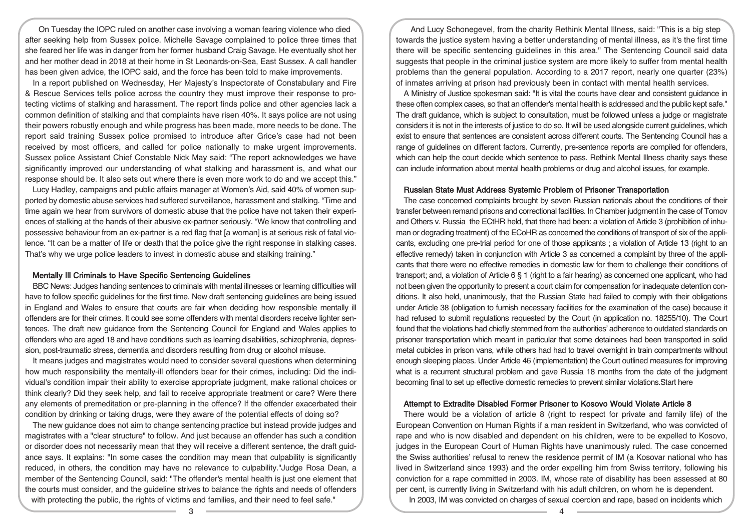On Tuesday the IOPC ruled on another case involving a woman fearing violence who died after seeking help from Sussex police. Michelle Savage complained to police three times that she feared her life was in danger from her former husband Craig Savage. He eventually shot her and her mother dead in 2018 at their home in St Leonards-on-Sea, East Sussex. A call handler has been given advice, the IOPC said, and the force has been told to make improvements.

In a report published on Wednesday, Her Majesty's Inspectorate of Constabulary and Fire & Rescue Services tells police across the country they must improve their response to protecting victims of stalking and harassment. The report finds police and other agencies lack a common definition of stalking and that complaints have risen 40%. It says police are not using their powers robustly enough and while progress has been made, more needs to be done. The report said training Sussex police promised to introduce after Grice's case had not been received by most officers, and called for police nationally to make urgent improvements. Sussex police Assistant Chief Constable Nick May said: "The report acknowledges we have significantly improved our understanding of what stalking and harassment is, and what our response should be. It also sets out where there is even more work to do and we accept this."

Lucy Hadley, campaigns and public affairs manager at Women's Aid, said 40% of women supported by domestic abuse services had suffered surveillance, harassment and stalking. "Time and time again we hear from survivors of domestic abuse that the police have not taken their experiences of stalking at the hands of their abusive ex-partner seriously. "We know that controlling and possessive behaviour from an ex-partner is a red flag that [a woman] is at serious risk of fatal violence. "It can be a matter of life or death that the police give the right response in stalking cases. That's why we urge police leaders to invest in domestic abuse and stalking training."

#### Mentally Ill Criminals to Have Specific Sentencing Guidelines

BBC News: Judges handing sentences to criminals with mental illnesses or learning difficulties will have to follow specific guidelines for the first time. New draft sentencing guidelines are being issued in England and Wales to ensure that courts are fair when deciding how responsible mentally ill offenders are for their crimes. It could see some offenders with mental disorders receive lighter sentences. The draft new guidance from the Sentencing Council for England and Wales applies to offenders who are aged 18 and have conditions such as learning disabilities, schizophrenia, depression, post-traumatic stress, dementia and disorders resulting from drug or alcohol misuse.

It means judges and magistrates would need to consider several questions when determining how much responsibility the mentally-ill offenders bear for their crimes, including: Did the individual's condition impair their ability to exercise appropriate judgment, make rational choices or think clearly? Did they seek help, and fail to receive appropriate treatment or care? Were there any elements of premeditation or pre-planning in the offence? If the offender exacerbated their condition by drinking or taking drugs, were they aware of the potential effects of doing so?

The new guidance does not aim to change sentencing practice but instead provide judges and magistrates with a "clear structure" to follow. And just because an offender has such a condition or disorder does not necessarily mean that they will receive a different sentence, the draft guidance says. It explains: "In some cases the condition may mean that culpability is significantly reduced, in others, the condition may have no relevance to culpability."Judge Rosa Dean, a member of the Sentencing Council, said: "The offender's mental health is just one element that the courts must consider, and the guideline strives to balance the rights and needs of offenders with protecting the public, the rights of victims and families, and their need to feel safe."

And Lucy Schonegevel, from the charity Rethink Mental Illness, said: "This is a big step towards the justice system having a better understanding of mental illness, as it's the first time there will be specific sentencing guidelines in this area." The Sentencing Council said data suggests that people in the criminal justice system are more likely to suffer from mental health problems than the general population. According to a 2017 report, nearly one quarter (23%) of inmates arriving at prison had previously been in contact with mental health services.

A Ministry of Justice spokesman said: "It is vital the courts have clear and consistent guidance in these often complex cases, so that an offender's mental health is addressed and the public kept safe." The draft guidance, which is subject to consultation, must be followed unless a judge or magistrate considers it is not in the interests of justice to do so. It will be used alongside current guidelines, which exist to ensure that sentences are consistent across different courts. The Sentencing Council has a range of guidelines on different factors. Currently, pre-sentence reports are compiled for offenders, which can help the court decide which sentence to pass. Rethink Mental Illness charity says these can include information about mental health problems or drug and alcohol issues, for example.

## Russian State Must Address Systemic Problem of Prisoner Transportation

The case concerned complaints brought by seven Russian nationals about the conditions of their transfer between remand prisons and correctional facilities. In Chamber judgment in the case of Tomov and Others v. Russia the ECtHR held, that there had been: a violation of Article 3 (prohibition of inhuman or degrading treatment) of the ECoHR as concerned the conditions of transport of six of the applicants, excluding one pre-trial period for one of those applicants ; a violation of Article 13 (right to an effective remedy) taken in conjunction with Article 3 as concerned a complaint by three of the applicants that there were no effective remedies in domestic law for them to challenge their conditions of transport; and, a violation of Article 6 § 1 (right to a fair hearing) as concerned one applicant, who had not been given the opportunity to present a court claim for compensation for inadequate detention conditions. It also held, unanimously, that the Russian State had failed to comply with their obligations under Article 38 (obligation to furnish necessary facilities for the examination of the case) because it had refused to submit regulations requested by the Court (in application no. 18255/10). The Court found that the violations had chiefly stemmed from the authorities' adherence to outdated standards on prisoner transportation which meant in particular that some detainees had been transported in solid metal cubicles in prison vans, while others had had to travel overnight in train compartments without enough sleeping places. Under Article 46 (implementation) the Court outlined measures for improving what is a recurrent structural problem and gave Russia 18 months from the date of the judgment becoming final to set up effective domestic remedies to prevent similar violations.Start here

# Attempt to Extradite Disabled Former Prisoner to Kosovo Would Violate Article 8

There would be a violation of article 8 (right to respect for private and family life) of the European Convention on Human Rights if a man resident in Switzerland, who was convicted of rape and who is now disabled and dependent on his children, were to be expelled to Kosovo, judges in the European Court of Human Rights have unanimously ruled. The case concerned the Swiss authorities' refusal to renew the residence permit of IM (a Kosovar national who has lived in Switzerland since 1993) and the order expelling him from Swiss territory, following his conviction for a rape committed in 2003. IM, whose rate of disability has been assessed at 80 per cent, is currently living in Switzerland with his adult children, on whom he is dependent.

In 2003, IM was convicted on charges of sexual coercion and rape, based on incidents which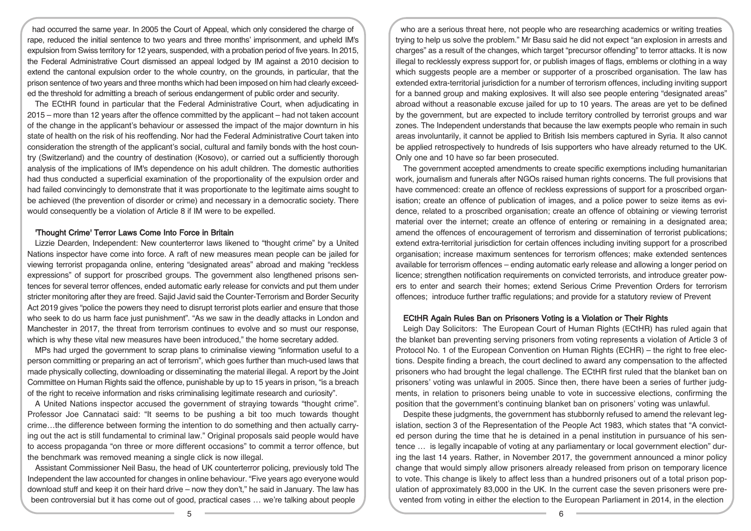had occurred the same year. In 2005 the Court of Appeal, which only considered the charge of rape, reduced the initial sentence to two years and three months' imprisonment, and upheld IM's expulsion from Swiss territory for 12 years, suspended, with a probation period of five years. In 2015, the Federal Administrative Court dismissed an appeal lodged by IM against a 2010 decision to extend the cantonal expulsion order to the whole country, on the grounds, in particular, that the prison sentence of two years and three months which had been imposed on him had clearly exceeded the threshold for admitting a breach of serious endangerment of public order and security.

The ECtHR found in particular that the Federal Administrative Court, when adjudicating in 2015 – more than 12 years after the offence committed by the applicant – had not taken account of the change in the applicant's behaviour or assessed the impact of the major downturn in his state of health on the risk of his reoffending. Nor had the Federal Administrative Court taken into consideration the strength of the applicant's social, cultural and family bonds with the host country (Switzerland) and the country of destination (Kosovo), or carried out a sufficiently thorough analysis of the implications of IM's dependence on his adult children. The domestic authorities had thus conducted a superficial examination of the proportionality of the expulsion order and had failed convincingly to demonstrate that it was proportionate to the legitimate aims sought to be achieved (the prevention of disorder or crime) and necessary in a democratic society. There would consequently be a violation of Article 8 if IM were to be expelled.

#### 'Thought Crime' Terror Laws Come Into Force in Britain

Lizzie Dearden, Independent: New counterterror laws likened to "thought crime" by a United Nations inspector have come into force. A raft of new measures mean people can be jailed for viewing terrorist propaganda online, entering "designated areas" abroad and making "reckless expressions" of support for proscribed groups. The government also lengthened prisons sentences for several terror offences, ended automatic early release for convicts and put them under stricter monitoring after they are freed. Sajid Javid said the Counter-Terrorism and Border Security Act 2019 gives "police the powers they need to disrupt terrorist plots earlier and ensure that those who seek to do us harm face just punishment". "As we saw in the deadly attacks in London and Manchester in 2017, the threat from terrorism continues to evolve and so must our response, which is why these vital new measures have been introduced," the home secretary added.

MPs had urged the government to scrap plans to criminalise viewing "information useful to a person committing or preparing an act of terrorism", which goes further than much-used laws that made physically collecting, downloading or disseminating the material illegal. A report by the Joint Committee on Human Rights said the offence, punishable by up to 15 years in prison, "is a breach of the right to receive information and risks criminalising legitimate research and curiosity".

A United Nations inspector accused the government of straying towards "thought crime". Professor Joe Cannataci said: "It seems to be pushing a bit too much towards thought crime…the difference between forming the intention to do something and then actually carrying out the act is still fundamental to criminal law." Original proposals said people would have to access propaganda "on three or more different occasions" to commit a terror offence, but the benchmark was removed meaning a single click is now illegal.

Assistant Commissioner Neil Basu, the head of UK counterterror policing, previously told The Independent the law accounted for changes in online behaviour. "Five years ago everyone would download stuff and keep it on their hard drive – now they don't," he said in January. The law has been controversial but it has come out of good, practical cases … we're talking about people

who are a serious threat here, not people who are researching academics or writing treaties trying to help us solve the problem." Mr Basu said he did not expect "an explosion in arrests and charges" as a result of the changes, which target "precursor offending" to terror attacks. It is now illegal to recklessly express support for, or publish images of flags, emblems or clothing in a way which suggests people are a member or supporter of a proscribed organisation. The law has extended extra-territorial jurisdiction for a number of terrorism offences, including inviting support for a banned group and making explosives. It will also see people entering "designated areas" abroad without a reasonable excuse jailed for up to 10 years. The areas are yet to be defined by the government, but are expected to include territory controlled by terrorist groups and war zones. The Independent understands that because the law exempts people who remain in such areas involuntarily, it cannot be applied to British Isis members captured in Syria. It also cannot be applied retrospectively to hundreds of Isis supporters who have already returned to the UK. Only one and 10 have so far been prosecuted.

The government accepted amendments to create specific exemptions including humanitarian work, journalism and funerals after NGOs raised human rights concerns. The full provisions that have commenced: create an offence of reckless expressions of support for a proscribed organisation; create an offence of publication of images, and a police power to seize items as evidence, related to a proscribed organisation; create an offence of obtaining or viewing terrorist material over the internet; create an offence of entering or remaining in a designated area; amend the offences of encouragement of terrorism and dissemination of terrorist publications; extend extra-territorial jurisdiction for certain offences including inviting support for a proscribed organisation; increase maximum sentences for terrorism offences; make extended sentences available for terrorism offences – ending automatic early release and allowing a longer period on licence; strengthen notification requirements on convicted terrorists, and introduce greater powers to enter and search their homes; extend Serious Crime Prevention Orders for terrorism offences; introduce further traffic regulations; and provide for a statutory review of Prevent

## ECtHR Again Rules Ban on Prisoners Voting is a Violation or Their Rights

Leigh Day Solicitors: The European Court of Human Rights (ECtHR) has ruled again that the blanket ban preventing serving prisoners from voting represents a violation of Article 3 of Protocol No. 1 of the European Convention on Human Rights (ECHR) – the right to free elections. Despite finding a breach, the court declined to award any compensation to the affected prisoners who had brought the legal challenge. The ECtHR first ruled that the blanket ban on prisoners' voting was unlawful in 2005. Since then, there have been a series of further judgments, in relation to prisoners being unable to vote in successive elections, confirming the position that the government's continuing blanket ban on prisoners' voting was unlawful.

Despite these judgments, the government has stubbornly refused to amend the relevant legislation, section 3 of the Representation of the People Act 1983, which states that "A convicted person during the time that he is detained in a penal institution in pursuance of his sentence ... is legally incapable of voting at any parliamentary or local government election" during the last 14 years. Rather, in November 2017, the government announced a minor policy change that would simply allow prisoners already released from prison on temporary licence to vote. This change is likely to affect less than a hundred prisoners out of a total prison population of approximately 83,000 in the UK. In the current case the seven prisoners were prevented from voting in either the election to the European Parliament in 2014, in the election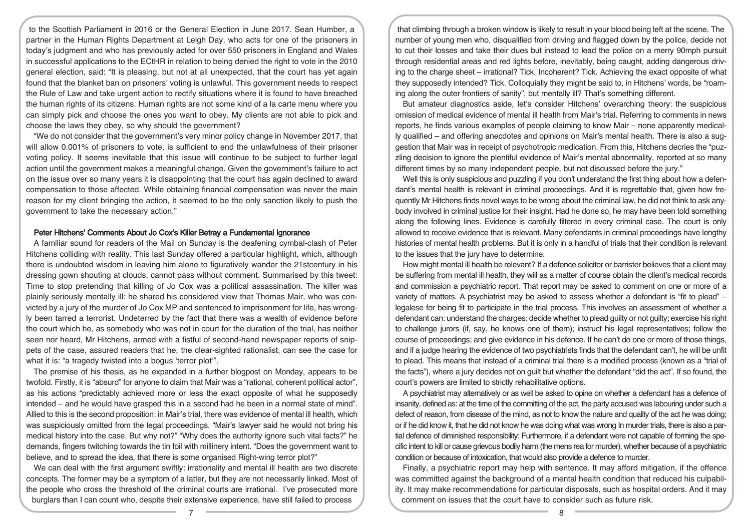to the Scottish Parliament in 2016 or the General Election in June 2017. Sean Humber, a partner in the Human Rights Department at Leigh Day, who acts for one of the prisoners in today's judgment and who has previously acted for over 550 prisoners in England and Wales in successful applications to the ECtHR in relation to being denied the right to vote in the 2010 general election, said: "It is pleasing, but not at all unexpected, that the court has yet again found that the blanket ban on prisoners' voting is unlawful. This government needs to respect the Rule of Law and take urgent action to rectify situations where it is found to have breached the human rights of its citizens. Human rights are not some kind of a la carte menu where you can simply pick and choose the ones you want to obey. My clients are not able to pick and choose the laws they obey, so why should the government?

"We do not consider that the government's very minor policy change in November 2017, that will allow 0.001% of prisoners to vote, is sufficient to end the unlawfulness of their prisoner voting policy. It seems inevitable that this issue will continue to be subject to further legal action until the government makes a meaningful change. Given the government's failure to act on the issue over so many years it is disappointing that the court has again declined to award compensation to those affected. While obtaining financial compensation was never the main reason for my client bringing the action, it seemed to be the only sanction likely to push the government to take the necessary action."

#### Peter Hitchens' Comments About Jo Cox's Killer Betray a Fundamental Ignorance

A familiar sound for readers of the Mail on Sunday is the deafening cymbal-clash of Peter Hitchens colliding with reality. This last Sunday offered a particular highlight, which, although there is undoubted wisdom in leaving him alone to figuratively wander the 21stcentury in his dressing gown shouting at clouds, cannot pass without comment. Summarised by this tweet: Time to stop pretending that killing of Jo Cox was a political assassination. The killer was plainly seriously mentally ill: he shared his considered view that Thomas Mair, who was convicted by a jury of the murder of Jo Cox MP and sentenced to imprisonment for life, has wrongly been tarred a terrorist. Undeterred by the fact that there was a wealth of evidence before the court which he, as somebody who was not in court for the duration of the trial, has neither seen nor heard, Mr Hitchens, armed with a fistful of second-hand newspaper reports of snippets of the case, assured readers that he, the clear-sighted rationalist, can see the case for what it is: "a tragedy twisted into a bogus 'terror plot".

The premise of his thesis, as he expanded in a further blogpost on Monday, appears to be twofold. Firstly, it is "absurd" for anyone to claim that Mair was a "rational, coherent political actor", as his actions "predictably achieved more or less the exact opposite of what he supposedly intended – and he would have grasped this in a second had he been in a normal state of mind". Allied to this is the second proposition: in Mair's trial, there was evidence of mental ill health, which was suspiciously omitted from the legal proceedings. "Mair's lawyer said he would not bring his medical history into the case. But why not?" "Why does the authority ignore such vital facts?" he demands, fingers twitching towards the tin foil with millinery intent. "Does the government want to believe, and to spread the idea, that there is some organised Right-wing terror plot?"

We can deal with the first argument swiftly: irrationality and mental ill health are two discrete concepts. The former may be a symptom of a latter, but they are not necessarily linked. Most of the people who cross the threshold of the criminal courts are irrational. I've prosecuted more burglars than I can count who, despite their extensive experience, have still failed to process

that climbing through a broken window is likely to result in your blood being left at the scene. The number of young men who, disqualified from driving and flagged down by the police, decide not to cut their losses and take their dues but instead to lead the police on a merry 90mph pursuit through residential areas and red lights before, inevitably, being caught, adding dangerous driving to the charge sheet – irrational? Tick. Incoherent? Tick. Achieving the exact opposite of what they supposedly intended? Tick. Colloquially they might be said to, in Hitchens' words, be "roaming along the outer frontiers of sanity", but mentally ill? That's something different.

But amateur diagnostics aside, let's consider Hitchens' overarching theory: the suspicious omission of medical evidence of mental ill health from Mair's trial. Referring to comments in news reports, he finds various examples of people claiming to know Mair – none apparently medically qualified – and offering anecdotes and opinions on Mair's mental health. There is also a suggestion that Mair was in receipt of psychotropic medication. From this, Hitchens decries the "puzzling decision to ignore the plentiful evidence of Mair's mental abnormality, reported at so many different times by so many independent people, but not discussed before the jury."

Well this is only suspicious and puzzling if you don't understand the first thing about how a defendant's mental health is relevant in criminal proceedings. And it is regrettable that, given how frequently Mr Hitchens finds novel ways to be wrong about the criminal law, he did not think to ask anybody involved in criminal justice for their insight. Had he done so, he may have been told something along the following lines. Evidence is carefully filtered in every criminal case. The court is only allowed to receive evidence that is relevant. Many defendants in criminal proceedings have lengthy histories of mental health problems. But it is only in a handful of trials that their condition is relevant to the issues that the jury have to determine.

How might mental ill health be relevant? If a defence solicitor or barrister believes that a client may be suffering from mental ill health, they will as a matter of course obtain the client's medical records and commission a psychiatric report. That report may be asked to comment on one or more of a variety of matters. A psychiatrist may be asked to assess whether a defendant is "fit to plead" – legalese for being fit to participate in the trial process. This involves an assessment of whether a defendant can: understand the charges; decide whether to plead guilty or not guilty; exercise his right to challenge jurors (if, say, he knows one of them); instruct his legal representatives; follow the course of proceedings; and give evidence in his defence. If he can't do one or more of those things, and if a judge hearing the evidence of two psychiatrists finds that the defendant can't, he will be unfit to plead. This means that instead of a criminal trial there is a modified process (known as a "trial of the facts"), where a jury decides not on guilt but whether the defendant "did the act". If so found, the court's powers are limited to strictly rehabilitative options.

A psychiatrist may alternatively or as well be asked to opine on whether a defendant has a defence of insanity, defined as: at the time of the committing of the act, the party accused was labouring under such a defect of reason, from disease of the mind, as not to know the nature and quality of the act he was doing; or if he did know it, that he did not know he was doing what was wrong In murder trials, there is also a partial defence of diminished responsibility: Furthermore, if a defendant were not capable of forming the specific intent to kill or cause grievous bodily harm (the mens rea for murder), whether because of a psychiatric condition or because of intoxication, that would also provide a defence to murder.

Finally, a psychiatric report may help with sentence. It may afford mitigation, if the offence was committed against the background of a mental health condition that reduced his culpability. It may make recommendations for particular disposals, such as hospital orders. And it may comment on issues that the court have to consider such as future risk.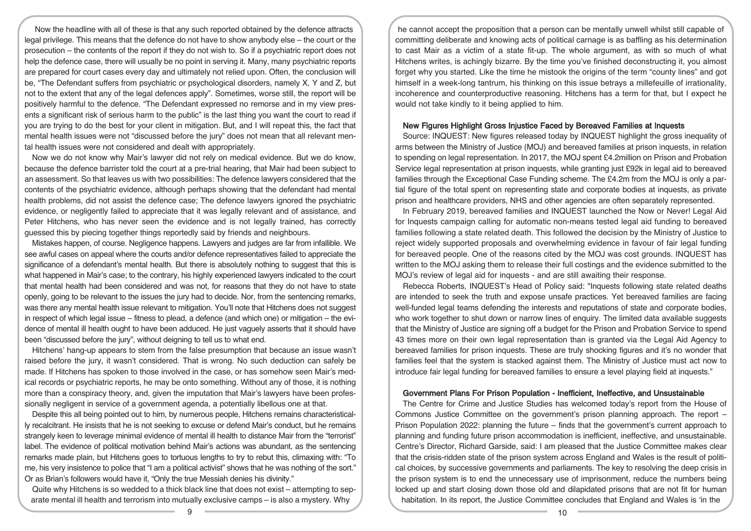Now the headline with all of these is that any such reported obtained by the defence attracts legal privilege. This means that the defence do not have to show anybody else – the court or the prosecution – the contents of the report if they do not wish to. So if a psychiatric report does not help the defence case, there will usually be no point in serving it. Many, many psychiatric reports are prepared for court cases every day and ultimately not relied upon. Often, the conclusion will be, "The Defendant suffers from psychiatric or psychological disorders, namely X, Y and Z, but not to the extent that any of the legal defences apply". Sometimes, worse still, the report will be positively harmful to the defence. "The Defendant expressed no remorse and in my view presents a significant risk of serious harm to the public" is the last thing you want the court to read if you are trying to do the best for your client in mitigation. But, and I will repeat this, the fact that mental health issues were not "discussed before the jury" does not mean that all relevant mental health issues were not considered and dealt with appropriately.

Now we do not know why Mair's lawyer did not rely on medical evidence. But we do know, because the defence barrister told the court at a pre-trial hearing, that Mair had been subject to an assessment. So that leaves us with two possibilities: The defence lawyers considered that the contents of the psychiatric evidence, although perhaps showing that the defendant had mental health problems, did not assist the defence case; The defence lawyers ignored the psychiatric evidence, or negligently failed to appreciate that it was legally relevant and of assistance, and Peter Hitchens, who has never seen the evidence and is not legally trained, has correctly guessed this by piecing together things reportedly said by friends and neighbours.

Mistakes happen, of course. Negligence happens. Lawyers and judges are far from infallible. We see awful cases on appeal where the courts and/or defence representatives failed to appreciate the significance of a defendant's mental health. But there is absolutely nothing to suggest that this is what happened in Mair's case; to the contrary, his highly experienced lawyers indicated to the court that mental health had been considered and was not, for reasons that they do not have to state openly, going to be relevant to the issues the jury had to decide. Nor, from the sentencing remarks, was there any mental health issue relevant to mitigation. You'll note that Hitchens does not suggest in respect of which legal issue – fitness to plead, a defence (and which one) or mitigation – the evidence of mental ill health ought to have been adduced. He just vaguely asserts that it should have been "discussed before the jury", without deigning to tell us to what end.

Hitchens' hang-up appears to stem from the false presumption that because an issue wasn't raised before the jury, it wasn't considered. That is wrong. No such deduction can safely be made. If Hitchens has spoken to those involved in the case, or has somehow seen Mair's medical records or psychiatric reports, he may be onto something. Without any of those, it is nothing more than a conspiracy theory, and, given the imputation that Mair's lawyers have been professionally negligent in service of a government agenda, a potentially libellous one at that.

Despite this all being pointed out to him, by numerous people, Hitchens remains characteristically recalcitrant. He insists that he is not seeking to excuse or defend Mair's conduct, but he remains strangely keen to leverage minimal evidence of mental ill health to distance Mair from the "terrorist" label. The evidence of political motivation behind Mair's actions was abundant, as the sentencing remarks made plain, but Hitchens goes to tortuous lengths to try to rebut this, climaxing with: "To me, his very insistence to police that "I am a political activist" shows that he was nothing of the sort." Or as Brian's followers would have it, "Only the true Messiah denies his divinity."

Quite why Hitchens is so wedded to a thick black line that does not exist – attempting to separate mental ill health and terrorism into mutually exclusive camps – is also a mystery. Why

he cannot accept the proposition that a person can be mentally unwell whilst still capable of committing deliberate and knowing acts of political carnage is as baffling as his determination to cast Mair as a victim of a state fit-up. The whole argument, as with so much of what Hitchens writes, is achingly bizarre. By the time you've finished deconstructing it, you almost forget why you started. Like the time he mistook the origins of the term "county lines" and got himself in a week-long tantrum, his thinking on this issue betrays a millefeuille of irrationality, incoherence and counterproductive reasoning. Hitchens has a term for that, but I expect he would not take kindly to it being applied to him.

# New Figures Highlight Gross Injustice Faced by Bereaved Families at Inquests

Source: INQUEST: New figures released today by INQUEST highlight the gross inequality of arms between the Ministry of Justice (MOJ) and bereaved families at prison inquests, in relation to spending on legal representation. In 2017, the MOJ spent £4.2million on Prison and Probation Service legal representation at prison inquests, while granting just £92k in legal aid to bereaved families through the Exceptional Case Funding scheme. The £4.2m from the MOJ is only a partial figure of the total spent on representing state and corporate bodies at inquests, as private prison and healthcare providers, NHS and other agencies are often separately represented.

In February 2019, bereaved families and INQUEST launched the Now or Never! Legal Aid for Inquests campaign calling for automatic non-means tested legal aid funding to bereaved families following a state related death. This followed the decision by the Ministry of Justice to reject widely supported proposals and overwhelming evidence in favour of fair legal funding for bereaved people. One of the reasons cited by the MOJ was cost grounds. INQUEST has written to the MOJ asking them to release their full costings and the evidence submitted to the MOJ's review of legal aid for inquests - and are still awaiting their response.

Rebecca Roberts, INQUEST's Head of Policy said: "Inquests following state related deaths are intended to seek the truth and expose unsafe practices. Yet bereaved families are facing well-funded legal teams defending the interests and reputations of state and corporate bodies, who work together to shut down or narrow lines of enquiry. The limited data available suggests that the Ministry of Justice are signing off a budget for the Prison and Probation Service to spend 43 times more on their own legal representation than is granted via the Legal Aid Agency to bereaved families for prison inquests. These are truly shocking figures and it's no wonder that families feel that the system is stacked against them. The Ministry of Justice must act now to introduce fair legal funding for bereaved families to ensure a level playing field at inquests."

#### Government Plans For Prison Population - Inefficient, Ineffective, and Unsustainable

The Centre for Crime and Justice Studies has welcomed today's report from the House of Commons Justice Committee on the government's prison planning approach. The report – Prison Population 2022: planning the future – finds that the government's current approach to planning and funding future prison accommodation is inefficient, ineffective, and unsustainable. Centre's Director, Richard Garside, said: I am pleased that the Justice Committee makes clear that the crisis-ridden state of the prison system across England and Wales is the result of political choices, by successive governments and parliaments. The key to resolving the deep crisis in the prison system is to end the unnecessary use of imprisonment, reduce the numbers being locked up and start closing down those old and dilapidated prisons that are not fit for human habitation. In its report, the Justice Committee concludes that England and Wales is 'in the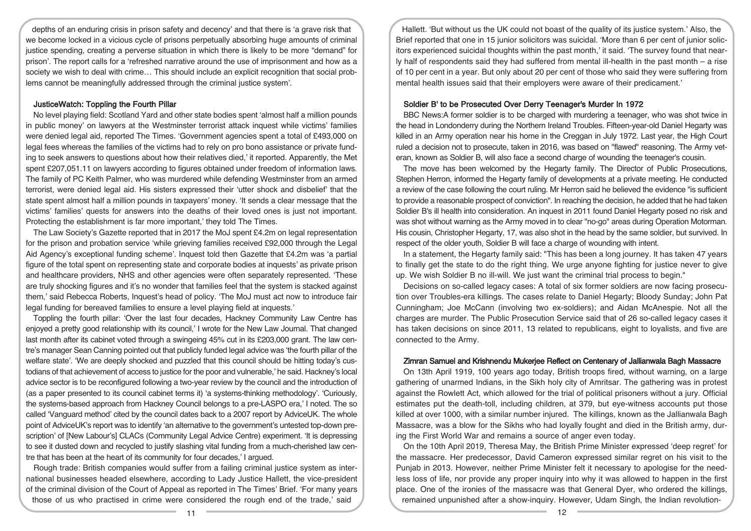depths of an enduring crisis in prison safety and decency' and that there is 'a grave risk that we become locked in a vicious cycle of prisons perpetually absorbing huge amounts of criminal justice spending, creating a perverse situation in which there is likely to be more "demand" for prison'. The report calls for a 'refreshed narrative around the use of imprisonment and how as a society we wish to deal with crime… This should include an explicit recognition that social problems cannot be meaningfully addressed through the criminal justice system'.

### JusticeWatch: Toppling the Fourth Pillar

No level playing field: Scotland Yard and other state bodies spent 'almost half a million pounds in public money' on lawyers at the Westminster terrorist attack inquest while victims' families were denied legal aid, reported The Times. 'Government agencies spent a total of £493,000 on legal fees whereas the families of the victims had to rely on pro bono assistance or private funding to seek answers to questions about how their relatives died,' it reported. Apparently, the Met spent £207,051.11 on lawyers according to figures obtained under freedom of information laws. The family of PC Keith Palmer, who was murdered while defending Westminster from an armed terrorist, were denied legal aid. His sisters expressed their 'utter shock and disbelief' that the state spent almost half a million pounds in taxpayers' money. 'It sends a clear message that the victims' families' quests for answers into the deaths of their loved ones is just not important. Protecting the establishment is far more important,' they told The Times.

The Law Society's Gazette reported that in 2017 the MoJ spent £4.2m on legal representation for the prison and probation service 'while grieving families received £92,000 through the Legal Aid Agency's exceptional funding scheme'. Inquest told then Gazette that £4.2m was 'a partial figure of the total spent on representing state and corporate bodies at inquests' as private prison and healthcare providers, NHS and other agencies were often separately represented. 'These are truly shocking figures and it's no wonder that families feel that the system is stacked against them,' said Rebecca Roberts, Inquest's head of policy. 'The MoJ must act now to introduce fair legal funding for bereaved families to ensure a level playing field at inquests.'

Toppling the fourth pillar: 'Over the last four decades, Hackney Community Law Centre has enjoyed a pretty good relationship with its council,' I wrote for the New Law Journal. That changed last month after its cabinet voted through a swingeing 45% cut in its £203,000 grant. The law centre's manager Sean Canning pointed out that publicly funded legal advice was 'the fourth pillar of the welfare state'. 'We are deeply shocked and puzzled that this council should be hitting today's custodians of that achievement of access to justice for the poor and vulnerable,' he said. Hackney's local advice sector is to be reconfigured following a two-year review by the council and the introduction of (as a paper presented to its council cabinet terms it) 'a systems-thinking methodology'. 'Curiously, the systems-based approach from Hackney Council belongs to a pre-LASPO era,' I noted. The so called 'Vanguard method' cited by the council dates back to a 2007 report by AdviceUK. The whole point of AdviceUK's report was to identify 'an alternative to the government's untested top-down prescription' of [New Labour's] CLACs (Community Legal Advice Centre) experiment. 'It is depressing to see it dusted down and recycled to justify slashing vital funding from a much-cherished law centre that has been at the heart of its community for four decades,' I argued.

Rough trade: British companies would suffer from a failing criminal justice system as international businesses headed elsewhere, according to Lady Justice Hallett, the vice-president of the criminal division of the Court of Appeal as reported in The Times' Brief. 'For many years those of us who practised in crime were considered the rough end of the trade,' said

Hallett. 'But without us the UK could not boast of the quality of its justice system.' Also, the Brief reported that one in 15 junior solicitors was suicidal. 'More than 6 per cent of junior solicitors experienced suicidal thoughts within the past month,' it said. 'The survey found that nearly half of respondents said they had suffered from mental ill-health in the past month – a rise of 10 per cent in a year. But only about 20 per cent of those who said they were suffering from mental health issues said that their employers were aware of their predicament.'

# Soldier B' to be Prosecuted Over Derry Teenager's Murder In 1972

BBC News:A former soldier is to be charged with murdering a teenager, who was shot twice in the head in Londonderry during the Northern Ireland Troubles. Fifteen-year-old Daniel Hegarty was killed in an Army operation near his home in the Creggan in July 1972. Last year, the High Court ruled a decision not to prosecute, taken in 2016, was based on "flawed" reasoning. The Army veteran, known as Soldier B, will also face a second charge of wounding the teenager's cousin.

The move has been welcomed by the Hegarty family. The Director of Public Prosecutions, Stephen Herron, informed the Hegarty family of developments at a private meeting. He conducted a review of the case following the court ruling. Mr Herron said he believed the evidence "is sufficient to provide a reasonable prospect of conviction". In reaching the decision, he added that he had taken Soldier B's ill health into consideration. An inquest in 2011 found Daniel Hegarty posed no risk and was shot without warning as the Army moved in to clear "no-go" areas during Operation Motorman. His cousin, Christopher Hegarty, 17, was also shot in the head by the same soldier, but survived. In respect of the older youth, Soldier B will face a charge of wounding with intent.

In a statement, the Hegarty family said: "This has been a long journey. It has taken 47 years to finally get the state to do the right thing. We urge anyone fighting for justice never to give up. We wish Soldier B no ill-will. We just want the criminal trial process to begin."

Decisions on so-called legacy cases: A total of six former soldiers are now facing prosecution over Troubles-era killings. The cases relate to Daniel Hegarty; Bloody Sunday; John Pat Cunningham; Joe McCann (involving two ex-soldiers); and Aidan McAnespie. Not all the charges are murder. The Public Prosecution Service said that of 26 so-called legacy cases it has taken decisions on since 2011, 13 related to republicans, eight to loyalists, and five are connected to the Army.

## Zimran Samuel and Krishnendu Mukerjee Reflect on Centenary of Jallianwala Bagh Massacre

On 13th April 1919, 100 years ago today, British troops fired, without warning, on a large gathering of unarmed Indians, in the Sikh holy city of Amritsar. The gathering was in protest against the Rowlett Act, which allowed for the trial of political prisoners without a jury. Official estimates put the death-toll, including children, at 379, but eye-witness accounts put those killed at over 1000, with a similar number injured. The killings, known as the Jallianwala Bagh Massacre, was a blow for the Sikhs who had loyally fought and died in the British army, during the First World War and remains a source of anger even today.

On the 10th April 2019, Theresa May, the British Prime Minister expressed 'deep regret' for the massacre. Her predecessor, David Cameron expressed similar regret on his visit to the Punjab in 2013. However, neither Prime Minister felt it necessary to apologise for the needless loss of life, nor provide any proper inquiry into why it was allowed to happen in the first place. One of the ironies of the massacre was that General Dyer, who ordered the killings, remained unpunished after a show-inquiry. However, Udam Singh, the Indian revolution-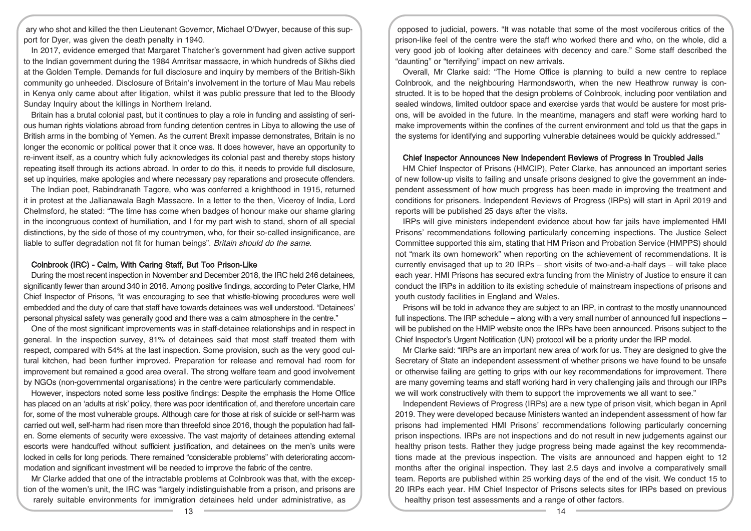ary who shot and killed the then Lieutenant Governor, Michael O'Dwyer, because of this support for Dyer, was given the death penalty in 1940.

In 2017, evidence emerged that Margaret Thatcher's government had given active support to the Indian government during the 1984 Amritsar massacre, in which hundreds of Sikhs died at the Golden Temple. Demands for full disclosure and inquiry by members of the British-Sikh community go unheeded. Disclosure of Britain's involvement in the torture of Mau Mau rebels in Kenya only came about after litigation, whilst it was public pressure that led to the Bloody Sunday Inquiry about the killings in Northern Ireland.

Britain has a brutal colonial past, but it continues to play a role in funding and assisting of serious human rights violations abroad from funding detention centres in Libya to allowing the use of British arms in the bombing of Yemen. As the current Brexit impasse demonstrates, Britain is no longer the economic or political power that it once was. It does however, have an opportunity to re-invent itself, as a country which fully acknowledges its colonial past and thereby stops history repeating itself through its actions abroad. In order to do this, it needs to provide full disclosure, set up inquiries, make apologies and where necessary pay reparations and prosecute offenders.

The Indian poet, Rabindranath Tagore, who was conferred a knighthood in 1915, returned it in protest at the Jallianawala Bagh Massacre. In a letter to the then, Viceroy of India, Lord Chelmsford, he stated: "The time has come when badges of honour make our shame glaring in the incongruous context of humiliation, and I for my part wish to stand, shorn of all special distinctions, by the side of those of my countrymen, who, for their so-called insignificance, are liable to suffer degradation not fit for human beings". Britain should do the same.

### Colnbrook (IRC) - Calm, With Caring Staff, But Too Prison-Like

During the most recent inspection in November and December 2018, the IRC held 246 detainees, significantly fewer than around 340 in 2016. Among positive findings, according to Peter Clarke, HM Chief Inspector of Prisons, "it was encouraging to see that whistle-blowing procedures were well embedded and the duty of care that staff have towards detainees was well understood. "Detainees' personal physical safety was generally good and there was a calm atmosphere in the centre."

One of the most significant improvements was in staff-detainee relationships and in respect in general. In the inspection survey, 81% of detainees said that most staff treated them with respect, compared with 54% at the last inspection. Some provision, such as the very good cultural kitchen, had been further improved. Preparation for release and removal had room for improvement but remained a good area overall. The strong welfare team and good involvement by NGOs (non-governmental organisations) in the centre were particularly commendable.

However, inspectors noted some less positive findings: Despite the emphasis the Home Office has placed on an 'adults at risk' policy, there was poor identification of, and therefore uncertain care for, some of the most vulnerable groups. Although care for those at risk of suicide or self-harm was carried out well, self-harm had risen more than threefold since 2016, though the population had fallen. Some elements of security were excessive. The vast majority of detainees attending external escorts were handcuffed without sufficient justification, and detainees on the men's units were locked in cells for long periods. There remained "considerable problems" with deteriorating accommodation and significant investment will be needed to improve the fabric of the centre.

Mr Clarke added that one of the intractable problems at Colnbrook was that, with the exception of the women's unit, the IRC was "largely indistinguishable from a prison, and prisons are rarely suitable environments for immigration detainees held under administrative, as

opposed to judicial, powers. "It was notable that some of the most vociferous critics of the prison-like feel of the centre were the staff who worked there and who, on the whole, did a very good job of looking after detainees with decency and care." Some staff described the "daunting" or "terrifying" impact on new arrivals.

Overall, Mr Clarke said: "The Home Office is planning to build a new centre to replace Colnbrook, and the neighbouring Harmondsworth, when the new Heathrow runway is constructed. It is to be hoped that the design problems of Colnbrook, including poor ventilation and sealed windows, limited outdoor space and exercise yards that would be austere for most prisons, will be avoided in the future. In the meantime, managers and staff were working hard to make improvements within the confines of the current environment and told us that the gaps in the systems for identifying and supporting vulnerable detainees would be quickly addressed."

### Chief Inspector Announces New Independent Reviews of Progress in Troubled Jails

HM Chief Inspector of Prisons (HMCIP), Peter Clarke, has announced an important series of new follow-up visits to failing and unsafe prisons designed to give the government an independent assessment of how much progress has been made in improving the treatment and conditions for prisoners. Independent Reviews of Progress (IRPs) will start in April 2019 and reports will be published 25 days after the visits.

IRPs will give ministers independent evidence about how far jails have implemented HMI Prisons' recommendations following particularly concerning inspections. The Justice Select Committee supported this aim, stating that HM Prison and Probation Service (HMPPS) should not "mark its own homework" when reporting on the achievement of recommendations. It is currently envisaged that up to 20 IRPs – short visits of two-and-a-half days – will take place each year. HMI Prisons has secured extra funding from the Ministry of Justice to ensure it can conduct the IRPs in addition to its existing schedule of mainstream inspections of prisons and youth custody facilities in England and Wales.

Prisons will be told in advance they are subject to an IRP, in contrast to the mostly unannounced full inspections. The IRP schedule – along with a very small number of announced full inspections – will be published on the HMIP website once the IRPs have been announced. Prisons subject to the Chief Inspector's Urgent Notification (UN) protocol will be a priority under the IRP model.

Mr Clarke said: "IRPs are an important new area of work for us. They are designed to give the Secretary of State an independent assessment of whether prisons we have found to be unsafe or otherwise failing are getting to grips with our key recommendations for improvement. There are many governing teams and staff working hard in very challenging jails and through our IRPs we will work constructively with them to support the improvements we all want to see."

Independent Reviews of Progress (IRPs) are a new type of prison visit, which began in April 2019. They were developed because Ministers wanted an independent assessment of how far prisons had implemented HMI Prisons' recommendations following particularly concerning prison inspections. IRPs are not inspections and do not result in new judgements against our healthy prison tests. Rather they judge progress being made against the key recommendations made at the previous inspection. The visits are announced and happen eight to 12 months after the original inspection. They last 2.5 days and involve a comparatively small team. Reports are published within 25 working days of the end of the visit. We conduct 15 to 20 IRPs each year. HM Chief Inspector of Prisons selects sites for IRPs based on previous healthy prison test assessments and a range of other factors.